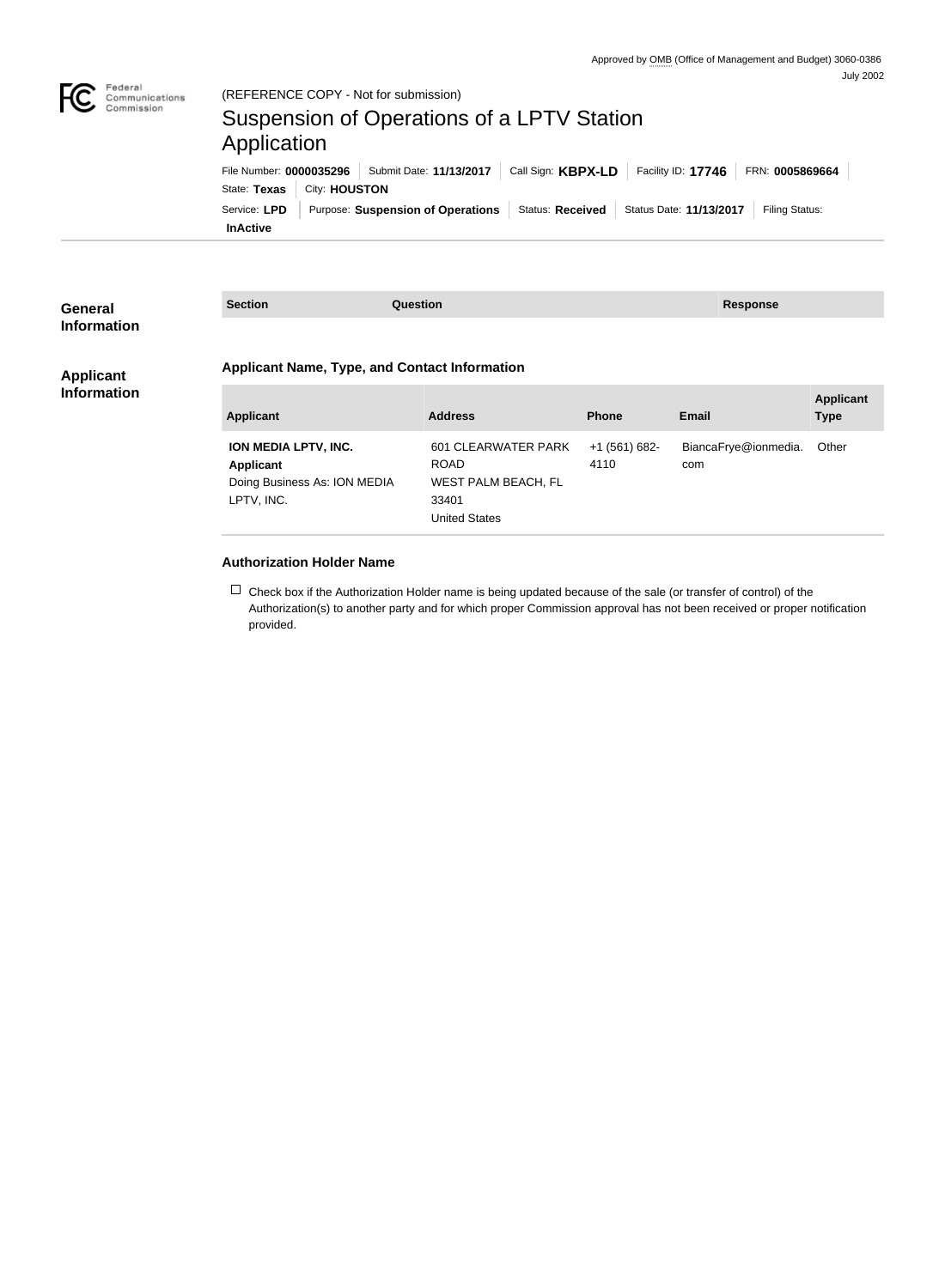

## File Number: **0000035296** Submit Date: **11/13/2017** Call Sign: **KBPX-LD** Facility ID: **17746** FRN: **0005869664** Suspension of Operations of a LPTV Station Application

|                 |                                                                                               | $\sim$ . The state of the state of the state of the state of the state of the state of the state of the state of the state of the state of the state of the state of the state of the state of the state of the state of the st |                |
|-----------------|-----------------------------------------------------------------------------------------------|---------------------------------------------------------------------------------------------------------------------------------------------------------------------------------------------------------------------------------|----------------|
|                 | State: Texas   City: HOUSTON                                                                  |                                                                                                                                                                                                                                 |                |
|                 | Service: LPD   Purpose: Suspension of Operations   Status: Received   Status Date: 11/13/2017 |                                                                                                                                                                                                                                 | Filing Status: |
| <b>InActive</b> |                                                                                               |                                                                                                                                                                                                                                 |                |

| <b>General</b><br><b>Information</b> | <b>Section</b> | <b>Question</b> | Response |
|--------------------------------------|----------------|-----------------|----------|
|                                      |                |                 |          |

## **Applicant Information**

## **Applicant Name, Type, and Contact Information**

| Applicant                   | <b>Address</b>    |
|-----------------------------|-------------------|
| <b>ION MEDIA LPTV, INC.</b> | 601 CLEARWATER P/ |
| A   15    4                 | <b>DOAD</b>       |

| <b>Applicant</b>                  | <b>Address</b>                     | <b>Phone</b>          | Email                       | <b>Applicant</b><br><b>Type</b> |
|-----------------------------------|------------------------------------|-----------------------|-----------------------------|---------------------------------|
| ION MEDIA LPTV, INC.<br>Applicant | 601 CLEARWATER PARK<br><b>ROAD</b> | +1 (561) 682-<br>4110 | BiancaFrye@ionmedia.<br>com | Other                           |
| Doing Business As: ION MEDIA      | <b>WEST PALM BEACH, FL</b>         |                       |                             |                                 |
| LPTV, INC.                        | 33401                              |                       |                             |                                 |
|                                   | <b>United States</b>               |                       |                             |                                 |

## **Authorization Holder Name**

 $\Box$  Check box if the Authorization Holder name is being updated because of the sale (or transfer of control) of the Authorization(s) to another party and for which proper Commission approval has not been received or proper notification provided.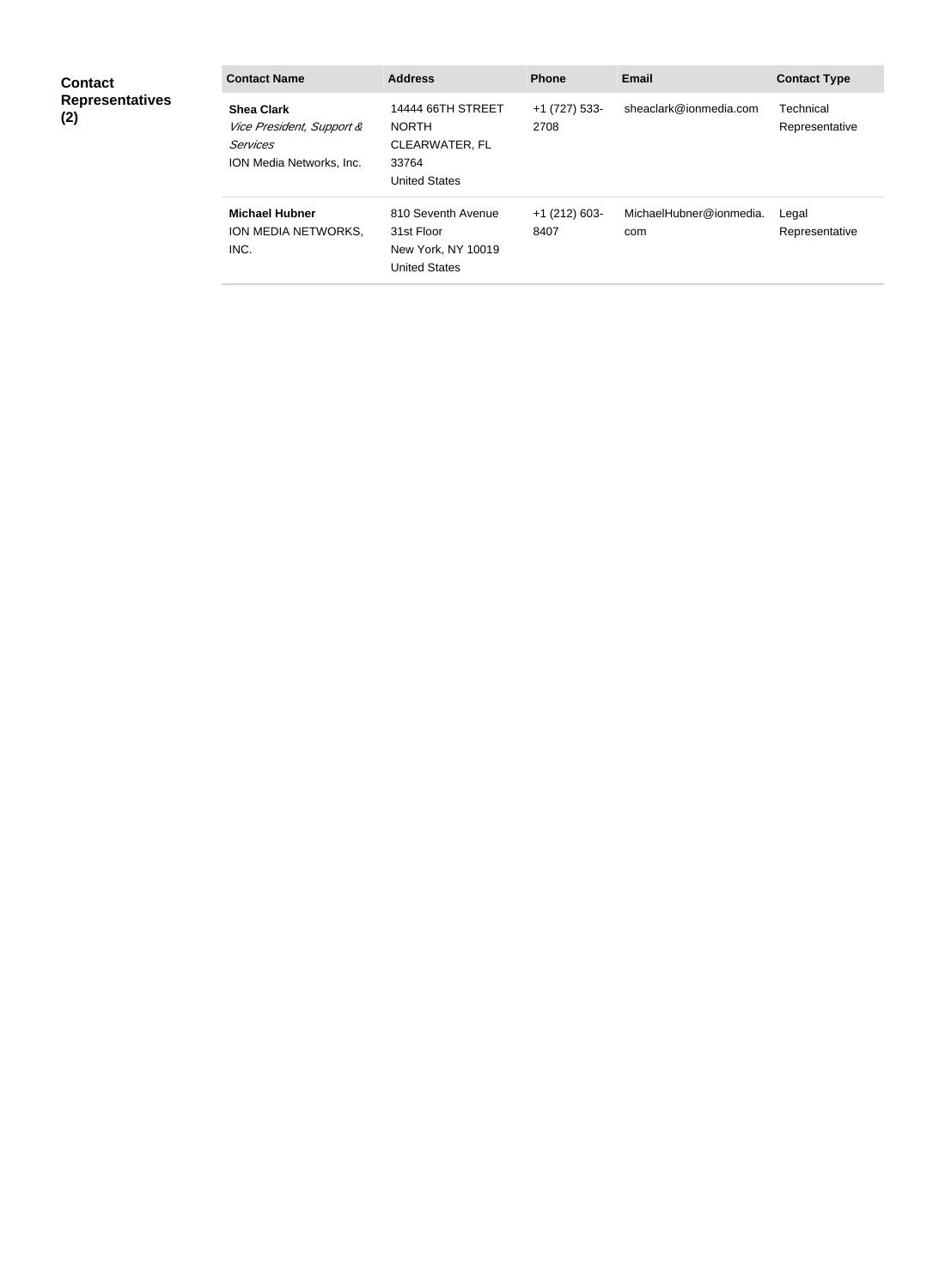| <b>Contact</b><br><b>Representatives</b><br>(2) | <b>Contact Name</b>                                                                    | <b>Address</b>                                                                              | <b>Phone</b>          | <b>Email</b>                   | <b>Contact Type</b>         |
|-------------------------------------------------|----------------------------------------------------------------------------------------|---------------------------------------------------------------------------------------------|-----------------------|--------------------------------|-----------------------------|
|                                                 | <b>Shea Clark</b><br>Vice President, Support &<br>Services<br>ION Media Networks, Inc. | 14444 66TH STREET<br><b>NORTH</b><br><b>CLEARWATER, FL</b><br>33764<br><b>United States</b> | +1 (727) 533-<br>2708 | sheaclark@ionmedia.com         | Technical<br>Representative |
|                                                 | <b>Michael Hubner</b><br><b>ION MEDIA NETWORKS.</b><br>INC.                            | 810 Seventh Avenue<br>31st Floor<br>New York, NY 10019<br><b>United States</b>              | $+1(212)603-$<br>8407 | MichaelHubner@ionmedia.<br>com | Legal<br>Representative     |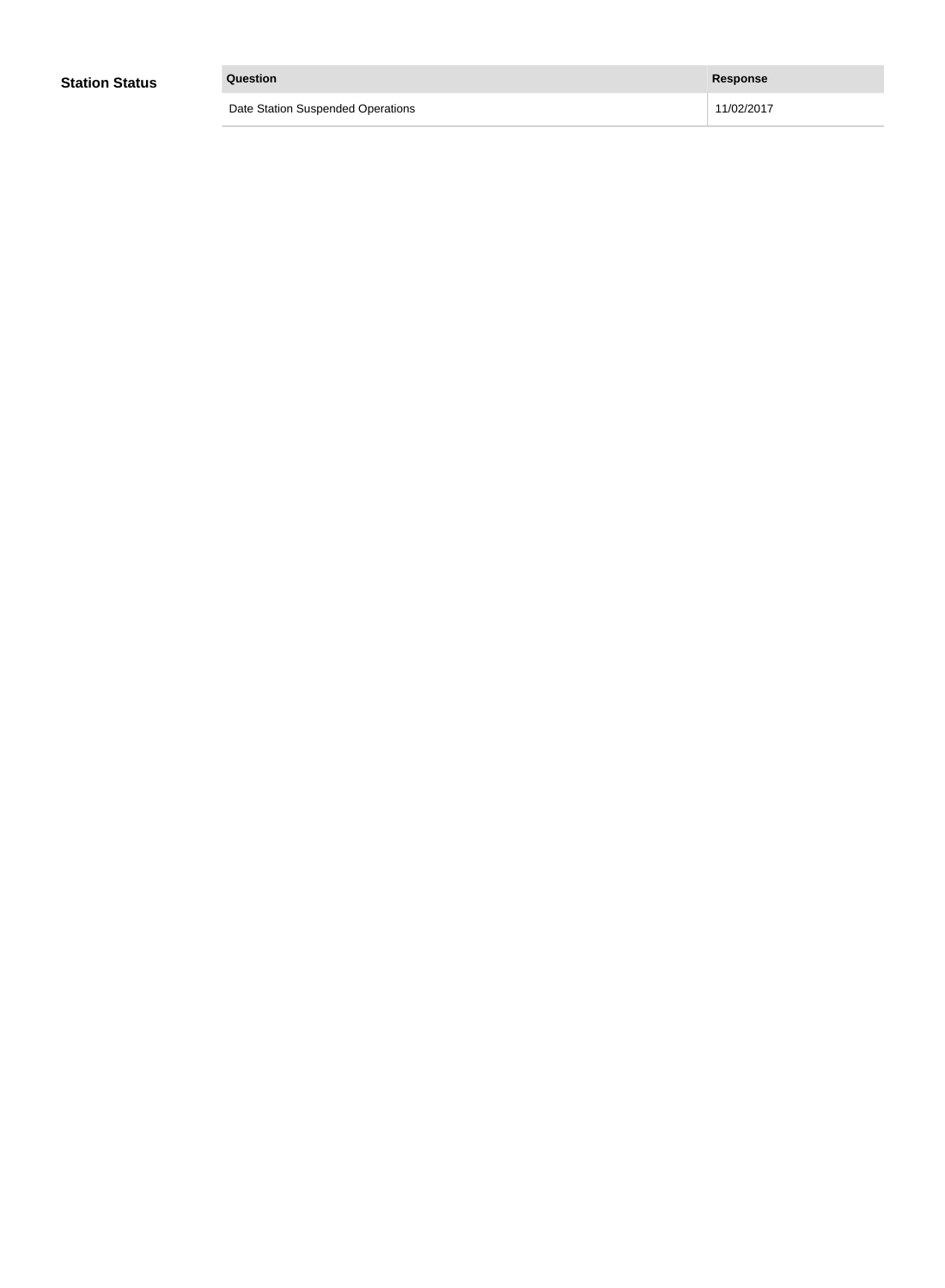| <b>Station Status</b> | Question                          | <b>Response</b> |
|-----------------------|-----------------------------------|-----------------|
|                       | Date Station Suspended Operations | 11/02/2017      |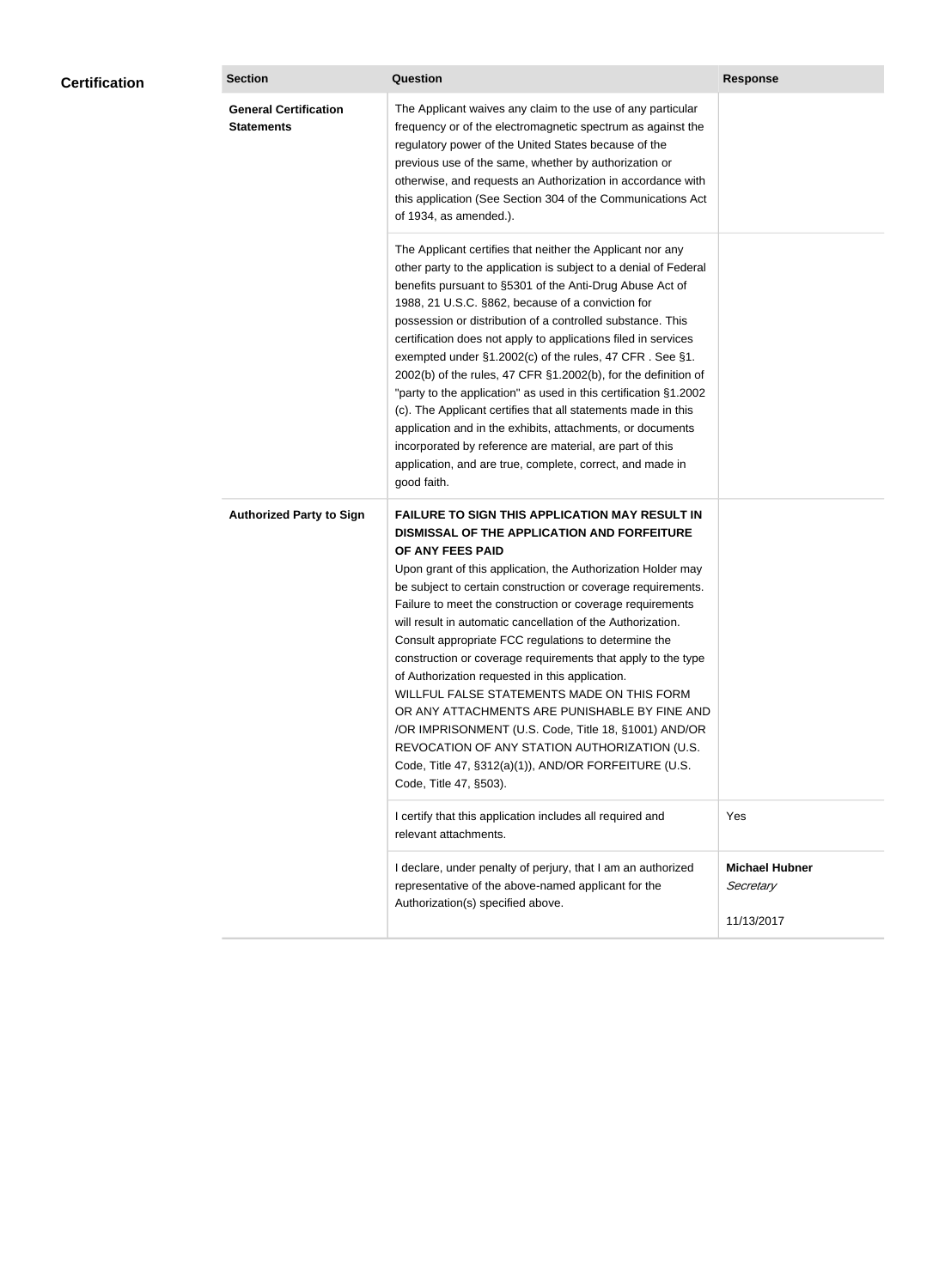| <b>Certification</b> | <b>Section</b>                                    | <b>Question</b>                                                                                                                                                                                                                                                                                                                                                                                                                                                                                                                                                                                                                                                                                                                                                                                                                                           | <b>Response</b>                                  |
|----------------------|---------------------------------------------------|-----------------------------------------------------------------------------------------------------------------------------------------------------------------------------------------------------------------------------------------------------------------------------------------------------------------------------------------------------------------------------------------------------------------------------------------------------------------------------------------------------------------------------------------------------------------------------------------------------------------------------------------------------------------------------------------------------------------------------------------------------------------------------------------------------------------------------------------------------------|--------------------------------------------------|
|                      | <b>General Certification</b><br><b>Statements</b> | The Applicant waives any claim to the use of any particular<br>frequency or of the electromagnetic spectrum as against the<br>regulatory power of the United States because of the<br>previous use of the same, whether by authorization or<br>otherwise, and requests an Authorization in accordance with<br>this application (See Section 304 of the Communications Act<br>of 1934, as amended.).                                                                                                                                                                                                                                                                                                                                                                                                                                                       |                                                  |
|                      |                                                   | The Applicant certifies that neither the Applicant nor any<br>other party to the application is subject to a denial of Federal<br>benefits pursuant to §5301 of the Anti-Drug Abuse Act of<br>1988, 21 U.S.C. §862, because of a conviction for<br>possession or distribution of a controlled substance. This<br>certification does not apply to applications filed in services<br>exempted under §1.2002(c) of the rules, 47 CFR. See §1.<br>2002(b) of the rules, 47 CFR §1.2002(b), for the definition of<br>"party to the application" as used in this certification §1.2002<br>(c). The Applicant certifies that all statements made in this<br>application and in the exhibits, attachments, or documents<br>incorporated by reference are material, are part of this<br>application, and are true, complete, correct, and made in<br>good faith.   |                                                  |
|                      | <b>Authorized Party to Sign</b>                   | <b>FAILURE TO SIGN THIS APPLICATION MAY RESULT IN</b><br>DISMISSAL OF THE APPLICATION AND FORFEITURE<br>OF ANY FEES PAID<br>Upon grant of this application, the Authorization Holder may<br>be subject to certain construction or coverage requirements.<br>Failure to meet the construction or coverage requirements<br>will result in automatic cancellation of the Authorization.<br>Consult appropriate FCC regulations to determine the<br>construction or coverage requirements that apply to the type<br>of Authorization requested in this application.<br>WILLFUL FALSE STATEMENTS MADE ON THIS FORM<br>OR ANY ATTACHMENTS ARE PUNISHABLE BY FINE AND<br>/OR IMPRISONMENT (U.S. Code, Title 18, §1001) AND/OR<br>REVOCATION OF ANY STATION AUTHORIZATION (U.S.<br>Code, Title 47, §312(a)(1)), AND/OR FORFEITURE (U.S.<br>Code, Title 47, §503). |                                                  |
|                      |                                                   | I certify that this application includes all required and<br>relevant attachments.                                                                                                                                                                                                                                                                                                                                                                                                                                                                                                                                                                                                                                                                                                                                                                        | Yes                                              |
|                      |                                                   | I declare, under penalty of perjury, that I am an authorized<br>representative of the above-named applicant for the<br>Authorization(s) specified above.                                                                                                                                                                                                                                                                                                                                                                                                                                                                                                                                                                                                                                                                                                  | <b>Michael Hubner</b><br>Secretary<br>11/13/2017 |
|                      |                                                   |                                                                                                                                                                                                                                                                                                                                                                                                                                                                                                                                                                                                                                                                                                                                                                                                                                                           |                                                  |